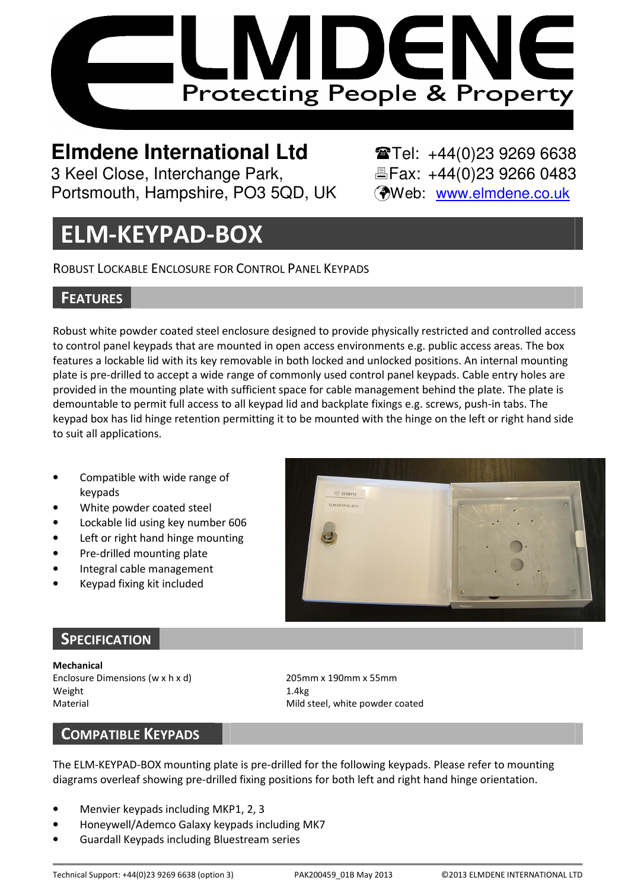

# **Elmdene International Ltd**  $\bullet$  **Tel: +44(0)23 9269 6638**

Portsmouth, Hampshire, PO3 5QD, UK (Web: www.elmdene.co.uk)

3 Keel Close, Interchange Park, Eleax: +44(0)23 9266 0483

## ELM-KEYPAD-BOX

ROBUST LOCKABLE ENCLOSURE FOR CONTROL PANEL KEYPADS

### **FEATURES**

Robust white powder coated steel enclosure designed to provide physically restricted and controlled access to control panel keypads that are mounted in open access environments e.g. public access areas. The box features a lockable lid with its key removable in both locked and unlocked positions. An internal mounting plate is pre-drilled to accept a wide range of commonly used control panel keypads. Cable entry holes are provided in the mounting plate with sufficient space for cable management behind the plate. The plate is demountable to permit full access to all keypad lid and backplate fixings e.g. screws, push-in tabs. The keypad box has lid hinge retention permitting it to be mounted with the hinge on the left or right hand side to suit all applications.

- Compatible with wide range of keypads
- White powder coated steel
- Lockable lid using key number 606
- Left or right hand hinge mounting
- Pre-drilled mounting plate
- Integral cable management
- Keypad fixing kit included



## **SPECIFICATION**

Mechanical Enclosure Dimensions (w x h x d) 205mm x 190mm x 55mm Weight 1.4kg Material Material Mild steel, white powder coated

#### COMPATIBLE KEYPADS

The ELM-KEYPAD-BOX mounting plate is pre-drilled for the following keypads. Please refer to mounting diagrams overleaf showing pre-drilled fixing positions for both left and right hand hinge orientation.

- Menvier keypads including MKP1, 2, 3
- Honeywell/Ademco Galaxy keypads including MK7
- Guardall Keypads including Bluestream series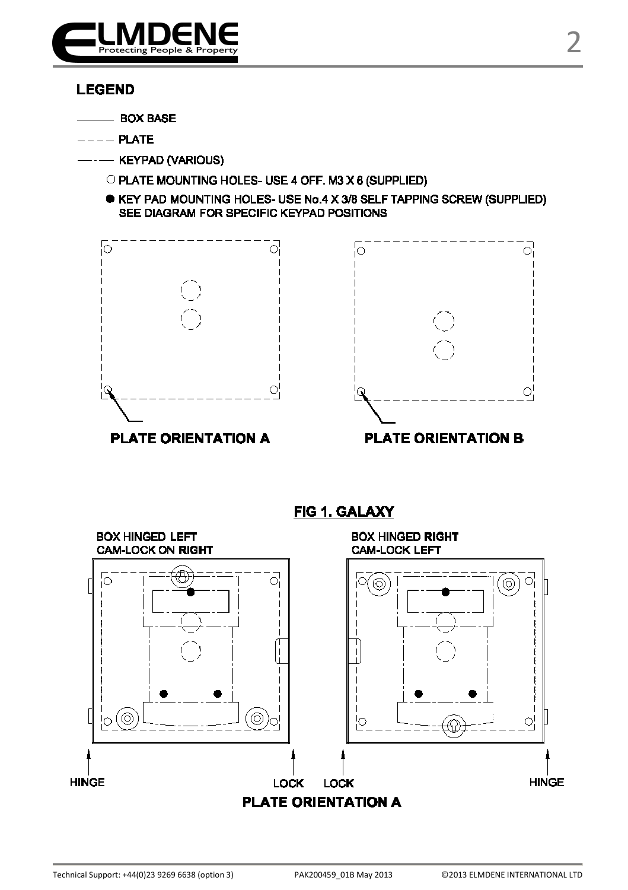

#### **LEGEND**

- BOX BASE
- $--$  PLATE
	- -- KEYPAD (VARIOUS)
		- O PLATE MOUNTING HOLES- USE 4 OFF. M3 X 6 (SUPPLIED)
		- KEY PAD MOUNTING HOLES- USE No.4 X 3/8 SELF TAPPING SCREW (SUPPLIED) SEE DIAGRAM FOR SPECIFIC KEYPAD POSITIONS







## **FIG 1. GALAXY**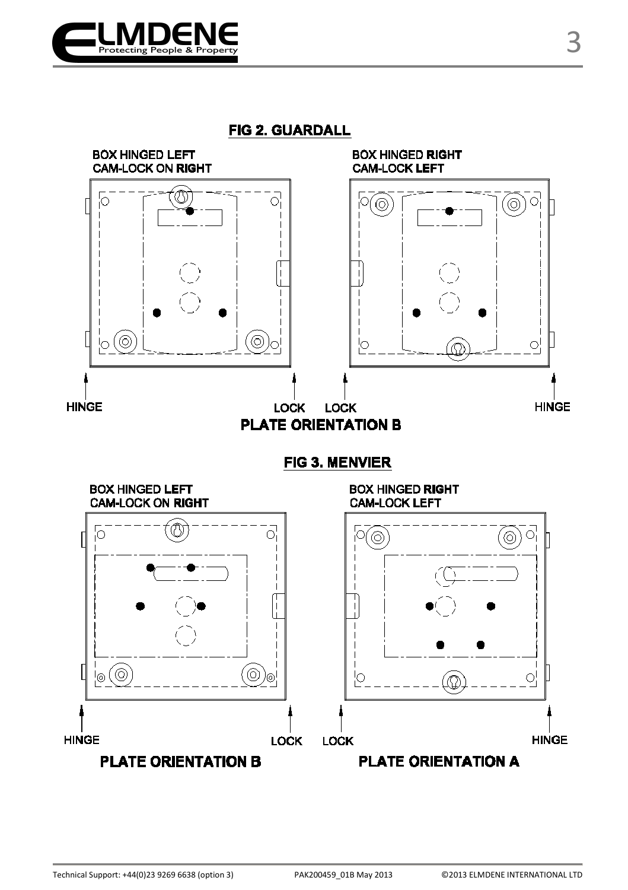

FIG 2. GUARDALL